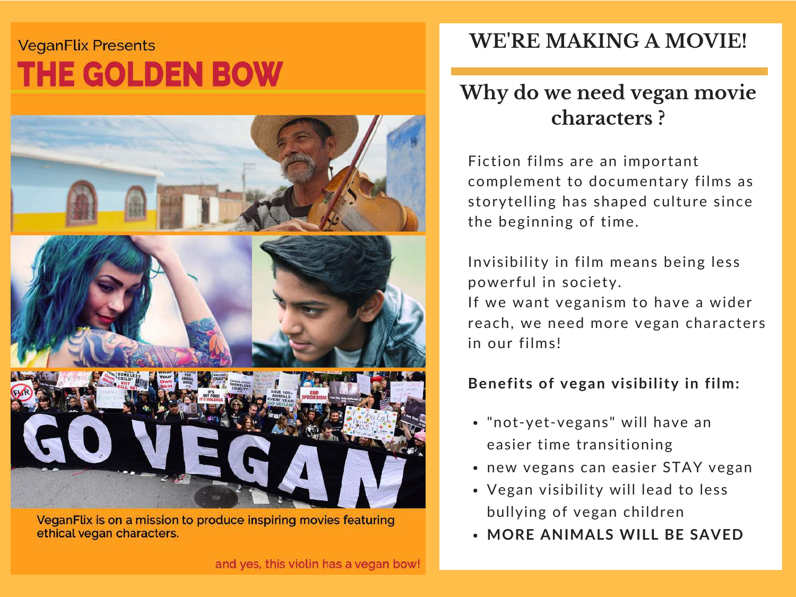## **VeganFlix Presents THE GOLDEN BOW**



VeganFlix is on a mission to produce inspiring movies featuring ethical vegan characters.

### WE'RE MAKING A MOVIE!

## Why do we need vegan movie characters ?

Fiction films are an important complement to documentary films as storytelling has shaped culture since the beginning of time.

Invisibility in film means being less powerful in society.

If we want veganism to have a wider reach, we need more vegan characters in our films!

### Benefits of vegan visibility in film:

- "not-yet-vegans" will have an easier time transitioning
- new vegans can easier STAY vegan
- Vegan visibility will lead to less bullying of vegan children
- MORE ANIMALS WILL BE SAVED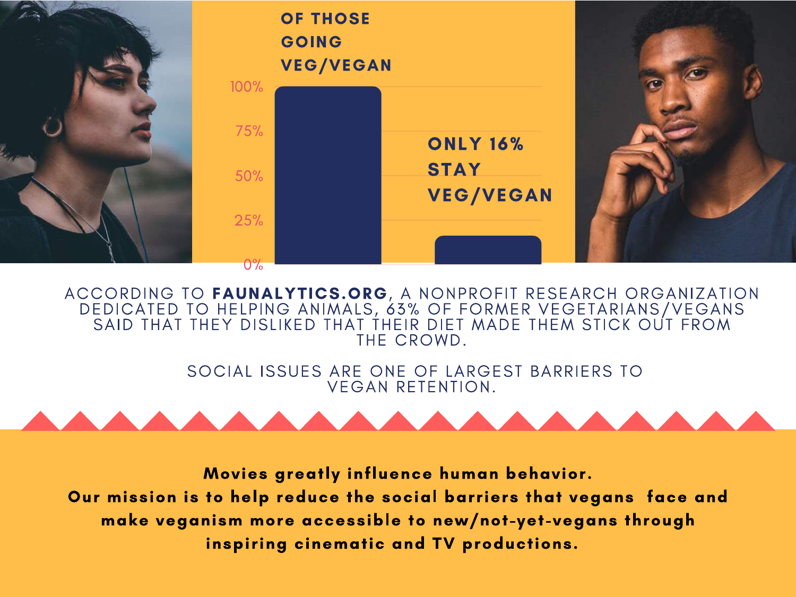

ACCORDING TO FAUNALYTICS.ORG, A NONPROFIT RESEARCH ORGANIZATION DEDICATED TO HELPING ANIMALS, 63% OF FORMER VEGETARIANS/VEGANS SAID THAT THEY DISLIKED THAT THEIR DIET MADE THEM STICK OUT FROM THE CROWD.

> SOCIAL ISSUES ARE ONE OF LARGEST BARRIERS TO VEGAN RETENTION.



Movies greatly influence human behavior. Our mission is to help reduce the social barriers that vegans face and make veganism more accessible to new/not-yet-vegans through inspiring cinematic and TV productions.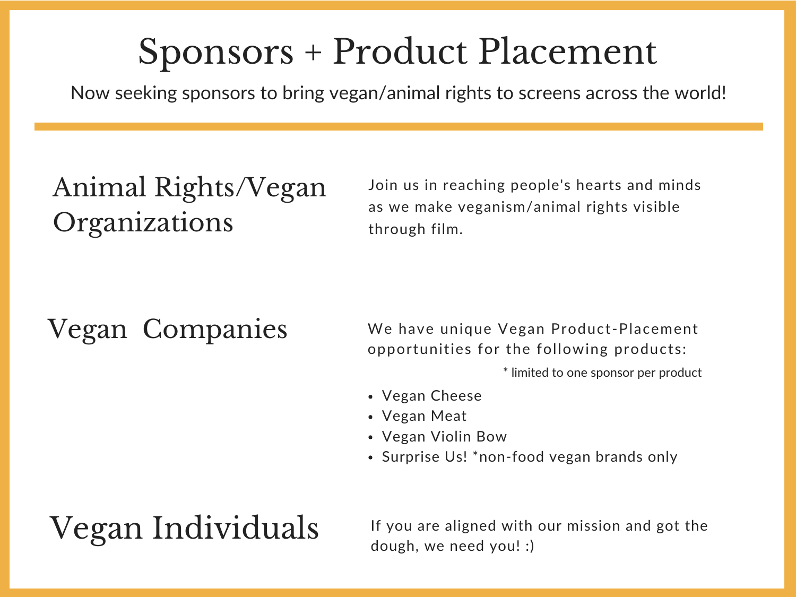## Sponsors + Product Placement

Now seeking sponsors to bring vegan/animal rights to screens across the world!

## Animal Rights/Vegan Organizations

Join us in reaching people's hearts and minds as we make veganism/animal rights visible through film.

Vegan Companies We have unique Vegan Product-Placement opportunities for the following products:

\* limited to one sponsor per product

- Vegan Cheese
- Vegan Meat
- Vegan Violin Bow
- Surprise Us! \* non-food vegan brands only

 $\rm{Vegan}$  Individuals If you are aligned with our mission and got the dough, we need you! :)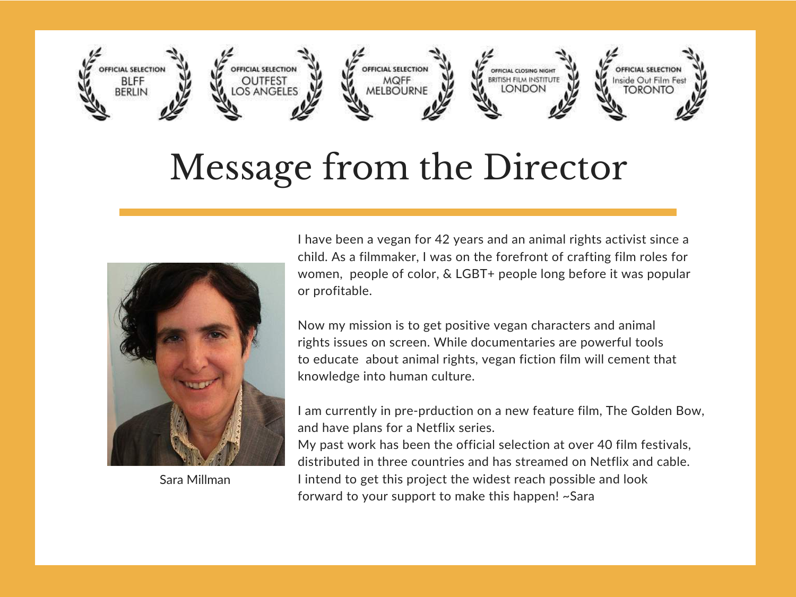

## Message from the Director



Sara Millman

I have been a vegan for 42 years and an animal rights activist since a child. As a filmmaker, I was on the forefront of crafting film roles for women, people of color, & LGBT+ people long before it was popular or profitable.

Now my mission is to get positive vegan characters and animal rights issues on screen. While documentaries are powerful tools to educate about animal rights, vegan fiction film will cement that knowledge into human culture.

I am currently in pre-prduction on a new feature film, The Golden Bow, and have plans for a Netflix series.

My past work has been the official selection at over 40 film festivals, distributed in three countries and has streamed on Netflix and cable. I intend to get this project the widest reach possible and look forward to your support to make this happen! ~Sara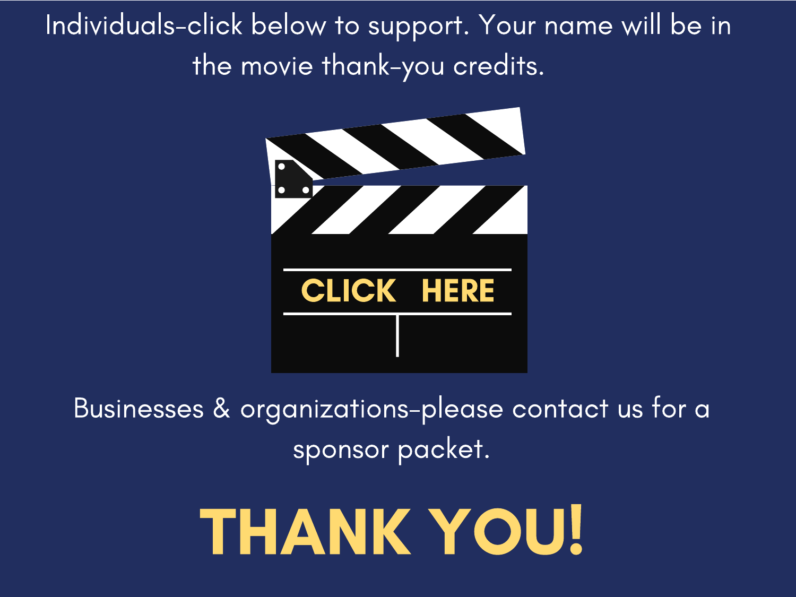Individuals-click below to support. Your name will be in the movie thank-you credits.



Businesses & organizations-please contact us for a sponsor packet.

# THANK YOU!